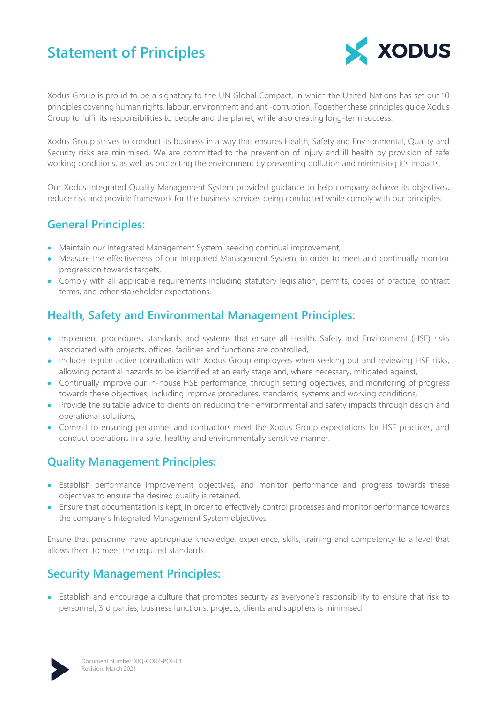## **Statement of Principles**



Xodus Group is proud to be a signatory to the UN Global Compact, in which the United Nations has set out 10 principles covering human rights, labour, environment and anti-corruption. Together these principles guide Xodus Group to fulfil its responsibilities to people and the planet, while also creating long-term success.

Xodus Group strives to conduct its business in a way that ensures Health, Safety and Environmental, Quality and Security risks are minimised. We are committed to the prevention of injury and ill health by provision of safe working conditions, as well as protecting the environment by preventing pollution and minimising it's impacts.

Our Xodus Integrated Quality Management System provided guidance to help company achieve its objectives, reduce risk and provide framework for the business services being conducted while comply with our principles:

#### **General Principles:**

- Maintain our Integrated Management System, seeking continual improvement,
- Measure the effectiveness of our Integrated Management System, in order to meet and continually monitor progression towards targets,
- Comply with all applicable requirements including statutory legislation, permits, codes of practice, contract terms, and other stakeholder expectations.

### **Health, Safety and Environmental Management Principles:**

- Implement procedures, standards and systems that ensure all Health, Safety and Environment (HSE) risks associated with projects, offices, facilities and functions are controlled,
- Include regular active consultation with Xodus Group employees when seeking out and reviewing HSE risks, allowing potential hazards to be identified at an early stage and, where necessary, mitigated against,
- Continually improve our in-house HSE performance, through setting objectives, and monitoring of progress towards these objectives, including improve procedures, standards, systems and working conditions,
- Provide the suitable advice to clients on reducing their environmental and safety impacts through design and operational solutions,
- Commit to ensuring personnel and contractors meet the Xodus Group expectations for HSE practices, and conduct operations in a safe, healthy and environmentally sensitive manner.

### **Quality Management Principles:**

- Establish performance improvement objectives, and monitor performance and progress towards these objectives to ensure the desired quality is retained,
- Ensure that documentation is kept, in order to effectively control processes and monitor performance towards the company's Integrated Management System objectives,

Ensure that personnel have appropriate knowledge, experience, skills, training and competency to a level that allows them to meet the required standards.

### **Security Management Principles:**

• Establish and encourage a culture that promotes security as everyone's responsibility to ensure that risk to personnel, 3rd parties, business functions, projects, clients and suppliers is minimised.